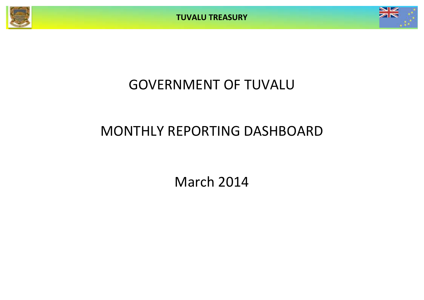



# GOVERNMENT OF TUVALU

# MONTHLY REPORTING DASHBOARD

March 2014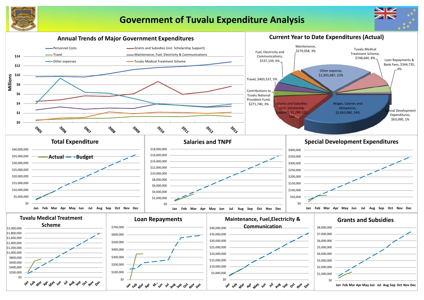

# **Government of Tuvalu Expenditure Analysis**



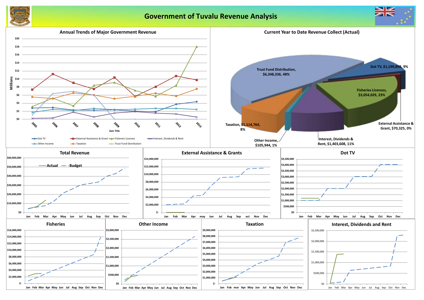

## **Government of Tuvalu Revenue Analysis**



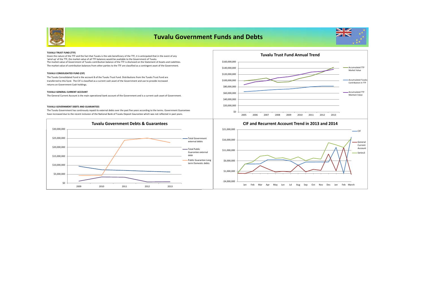

## **Tuvalu Government Funds and Debts**



#### **TUVALU TRUST FUND (TTF)**

The market value of Government of Tuvalu contribution balance of the TTF is disclosed on the Statement of Assets and Liabilities. The market value of contribution balances from other parties to the TTF are classified as a contingent asset of the Government. Given the nature of the TTF and the fact that Tuvalu is the sole beneficiary of the TTF, it is anticipated that in the event of any 'wind up' of the TTF, the market value of all TTF balances would be available to the Government of Tuvalu.

#### **TUVALU CONSOLIDATED FUND (CIF)**

The Tuvalu Consolidated Fund is the account B of the Tuvalu Trust Fund. Distributions from the Tuvalu Trust Fund are transferred to this fund. The CIF is classified as a current cash asset of the Government and use to provide increased returns on Government Cash holdings.

#### **TUVALU GENERAL CURRENT ACCOUNT**

The General Current Account is the main operational bank account of the Government and is a current cash asset of Government.

#### **TUVALU GOVERNMENT DEBTS AND GUARANTEES**

The Tuvalu Government has continously repaid its external debts over the past five years according to the terms. Government Guarantees have increased due to the recent inclusion of the National Bank of Tuvalu Deposit Gaurantee which was not reflected in past years.





-\$4,000,000 \$1,000,000 \$6,000,000 \$11,000,000 \$16,000,000 \$21,000,000 Jan Feb Mar Apr May Jun Jul Aug Sep Oct Nov Dec Jan Feb March CIF General Current Account Series3

#### **CIF and Recurrent Account Trend in 2013 and 2014**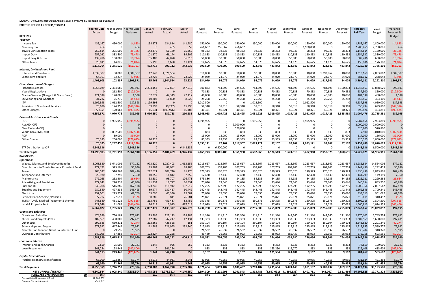## **MONTHLY STATEMENT OF RECEIPTS AND PAYENTS BY NATURE OF EXPENSE FOR THE PERIOD ENDED 31/03/2014**

|                                                                      | Year to Date Year to Date |                     | Year to Date     | January             | February      | March         | April             | May               | June              | July                | August              | September                 | October              | November            | December  | <b>Forecast</b>        | 2014                   | Variance         |
|----------------------------------------------------------------------|---------------------------|---------------------|------------------|---------------------|---------------|---------------|-------------------|-------------------|-------------------|---------------------|---------------------|---------------------------|----------------------|---------------------|-----------|------------------------|------------------------|------------------|
|                                                                      | Actual                    | Budget              | Variance         | Actual              | Actual        | Actual        | Forecast          | Forecast          | Forecast          | Forecast            | Forecast            | Forecast                  | Forecast             | Forecast            | Forecast  | <b>Full Year</b>       | <b>Budget</b>          | Forecast &       |
| <b>RECEIPTS</b>                                                      |                           |                     |                  |                     |               |               |                   |                   |                   |                     |                     |                           |                      |                     |           |                        |                        | Budget           |
| <b>Taxation</b>                                                      |                           |                     |                  |                     |               |               |                   |                   |                   |                     |                     |                           |                      |                     |           |                        |                        |                  |
| Income Tax                                                           | 435,167<br>464            | 450,000<br>$\Omega$ | (14, 833)<br>464 | 158,373<br>$\Omega$ | 134,814       | 141,980<br>59 | 150,000           | 150,000           | 150,000           | 150,000<br>$\Omega$ | 150,000<br>$\Omega$ | 150,000<br>$\overline{0}$ | 150,000<br>1.900.000 | 150,000<br>$\Omega$ | 150,000   | 1,785,167<br>2.700.465 | 1,800,000              | (14, 833)<br>464 |
| Company Tax                                                          | 259,814                   | 295,000             | (35, 186)        | 143,375             | 405<br>51,189 | 65,250        | 266,667<br>98,333 | 266,667<br>98,333 | 266,667<br>98,333 | 98,333              | 98,333              | 98,333                    | 98,333               | 98,333              | 98,333    | 1,144,814              | 2,700,001<br>1,180,000 | (35, 186)        |
| <b>Tuvalu Consumption Taxes</b>                                      | 257,022                   | 332,500             | (75, 478)        | 101,370             | 66,144        | 89,509        | 110,833           | 110,833           | 110,833           | 110,833             | 110,833             | 110,833                   | 110,833              | 110,833             | 110,833   | 1,254,522              | 1,330,000              | (75, 478)        |
| <b>Import Duty</b><br>Import Levy & Excise                           | 139,286                   | 150,000             | (10, 714)        | 55,403              | 47,870        | 36,013        | 50,000            | 50,000            | 50,000            | 50,000              | 50,000              | 50,000                    | 50,000               | 50,000              | 50,000    | 589,286                | 600,000                | (10, 714)        |
| <b>Other Taxes</b>                                                   | 23.011                    | 44.025              | (21.014)         | 5.198               | 6,690         | 11.124        | 14,675            | 14,675            | 14.675            | 14,675              | 14,675              | 14,675                    | 14,675               | 14,675              | 14,675    | 155.086                | 176,100                | (21.014)         |
|                                                                      | 1,114,764                 | 1,271,525           | (156, 761)       | 463,718             | 307,112       | 343,935       | 690,509           | 690,509           | 690,509           | 423,842             | 423,842             | 423,842                   | 2,323,842            | 423,842             | 423,842   | 7,629,340              | 7,786,101              | (156, 761)       |
| <b>Interest, Dividends and Rent</b>                                  |                           |                     |                  |                     |               |               |                   |                   |                   |                     |                     |                           |                      |                     |           |                        |                        |                  |
| <b>Interest and Dividends</b>                                        | 1,339,307                 | 30,000              | 1,309,30         | 12,743              | 1,326,564     | $\Omega$      | 510,000           | 10,000            | 10,000            | 10,000              | 10,000              | 10,000                    | 10,000               | 1,393,862           | 10,000    | 3,313,169              | 2,003,862              | 1,309,307        |
| Lease, rent and hire                                                 | 64,301                    | 72,237              | (7.93)           | 22,722              | 17,951        | 23,629        | 24,079            | 24,079            | 24,079            | 24,079              | 24,079              | 24,079                    | 24,079               | 24,079              | 24,079    | 281,012                | 288,948                | (7.936)          |
|                                                                      | 1,403,608                 | 102,237             | 1,301,371        | 35,465              | 1,344,514     | 23,629        | 534,079           | 34,079            | 34,079            | 34,079              | 34,079              | 34,079                    | 34,079               | 1,417,941           | 34,079    | 3,594,181              | 2,292,810              | 1,301,371        |
| <b>Other Government Charges</b>                                      |                           |                     |                  |                     |               |               |                   |                   |                   |                     |                     |                           |                      |                     |           |                        |                        |                  |
| <b>Fisheries Licenses</b>                                            | 3,054,029                 | 2,354,086           | 699,943          | 2,294,153           | 612,857       | 147,019       | 900,833           | 784,695           | 784,695           | 784,695             | 784,695             | 784,695                   | 784,695              | 784,695             | 5,100,833 | 14,548,563             | 13,848,620             | 699,943          |
| <b>Vessel Registrations</b>                                          | $\Omega$                  | 212,500             | (212.50)         | $\Omega$            | $\Omega$      | $\Omega$      | 70,833            | 70,833            | 70,833            | 70,833              | 70,833              | 70,833                    | 70,833               | 70,833              | 70,833    | 637,500                | 850,000                | (212.500)        |
| Marine Services (Nivaga II & Manu Folau)                             | 121,538                   | 120,000             | 1,538            | 57,072              | 42,349        | 22,117        | 40,000            | 40,000            | 40,000            | 40,000              | 40,000              | 40,000                    | 40,000               | 40,000              | 40,000    | 481,538                | 480,000                | 1,538            |
| Stevedoring and Wharfage                                             | 31,232                    | 75,775              | (44, 543)        | 10,803              | 11,800        | 8,629         | 25,258            | 25,258            | 25,258            | 25,258              | 25,258              | 25,258                    | 25,258               | 25,258              | 25,258    | 258,557                | 303,100                | (44, 543)        |
| .TV                                                                  | 1,199,898                 | 1,012,500           | 187,398          | 1,199,898           | $\Omega$      | $\Omega$      | 1,012,500         | $\Omega$          | $\Omega$          | 1,012,500           | $\Omega$            | $\overline{0}$            | 1,012,500            | $\Omega$            |           | 4,237,398              | 4,050,000              | 187,398          |
| Provision of Goods and Services                                      | 25,636                    | 174,953             | (149, 316)       | 39,893              | (30, 247)     | 15,990        | 58,318            | 58,318            | 58,318            | 58,318              | 58,318              | 58,318                    | 58,318               | 58,318              | 58,318    | 550,494                | 699,810                | (149, 316)       |
| Other Charges                                                        | (72, 462)                 | 120,963             | (193.42)         | 15,031              | (103, 976)    | 16,483        | 40,321            | 40,321            | 40.321            | 40.321              | 40,321              | 40,321                    | 40.321               | 40,321              | 40,321    | 290,426                | 483,851                | (193.425)        |
|                                                                      | 4,359,871                 | 4,070,776           | 289,095          | 3,616,850           | 532,783       | 210,238       | 2,148,063         | 1,019,425         | 1,019,425         | 2,031,925           | 1,019,425           | 1,019,425                 | 2,031,925            | 1,019,425           | 5,335,563 | 21,004,476             | 20,715,381             | 289,095          |
| <b>External Assistance and Grants</b>                                |                           |                     |                  |                     |               |               |                   |                   |                   |                     |                     |                           |                      |                     |           |                        |                        |                  |
| ROC                                                                  | $\mathbf{0}$              | 1,995,955           | (1,995,955)      | $\Omega$            | $\Omega$      | $\mathbf 0$   | 1,995,955         | $\mathsf 0$       | $\Omega$          | 1,995,955           | $\mathbf 0$         | $\mathbf 0$               | 1,995,955            | $\mathbf 0$         |           | 5,987,864              | 7,983,819              | (1,995,955)      |
| AusAID (CIF)                                                         | $\overline{0}$            | $\Omega$            |                  | $\Omega$            |               | $\mathbf 0$   | - 0               | 0                 | 2,000,000         | $\Omega$            | $\mathbf 0$         | $\overline{0}$            | $\Omega$             | $\mathbf 0$         |           | 2,000,000              | 2,000,000              | $\overline{0}$   |
| New Zealand (CIF)                                                    | $\mathbf{0}$              | $\Omega$            |                  | $\Omega$            |               | $\Omega$      | $\Omega$          | $\Omega$          | 520,800           | $\Omega$            | $\Omega$            | $\Omega$                  | $\Omega$             | $\Omega$            |           | 520,800                | 520,800                | $\Omega$         |
| World Bank, IMF, ADB                                                 | $\overline{0}$            | 3,002,500           | (3.002.500)      | $\Omega$            | $\Omega$      | $\Omega$      | 833               | 833               | 833               | 833                 | 833                 | 833                       | 833                  | 833                 | 833       | 7,500                  | 3,010,000              | (3,002,500)      |
| PDF                                                                  | $\Omega$                  | 39,000              | (39,000)         | ŋ                   | $\Omega$      | $\mathbf{0}$  | 13,000            | 13,000            | 13,000            | 13,000              | 13,000              | 13,000                    | 13,000               | 13,000              | 13,000    | 117,000                | 156,000                | (39,000)         |
| <b>Other Donors</b>                                                  | 70.325                    | 250,000             | (179.67)         | 70,325              | $\Omega$      | $\Omega$      | 83,333            | 83.333            | 83.333            | 83.333              | 83,333              | 83.333                    | 83.333               | 83,333              | 83.333    | 820,325                | 1,000,000              | (179.675)        |
|                                                                      | 70,325                    | 5,287,455           | (5,217,130)      | 70,325              | $\mathbf{0}$  | $\mathbf{0}$  | 2,093,121         | 97,167            | 2,617,967         | 2,093,121           | 97,167              | 97,167                    | 2,093,121            | 97,167              | 97,167    | 9,453,489              | 14,670,619             | (5, 217, 130)    |
| TTF Distribution to CIF                                              | 6.348.336                 | $\Omega$            | 6,348,33         | $\Omega$            | $\Omega$      | 6,348,336     | $\Omega$          | 6,500,000         | $\sqrt{ }$        | $\Omega$            | $\Omega$            | $\Omega$                  | $\Omega$             | $\Omega$            |           | 12,848,336             | 6,500,000              | 6,348,336        |
| <b>Total Receipts</b>                                                | 13,296,903                | 10,731,993          | 2,564,910        | 4,186,357           | 2,184,409     | 6,926,137     | 5,465,773         | 8,341,180         | 4,361,980         | 4,582,968           | 1,574,513           | 1,574,513                 | 6,482,968            | 2,958,375           | 5,890,651 | 54,529,821             | 51,964,911             | 2,564,910        |
| <b>PAYMENTS</b>                                                      |                           |                     |                  |                     |               |               |                   |                   |                   |                     |                     |                           |                      |                     |           |                        |                        |                  |
| <b>Operations</b>                                                    |                           |                     |                  |                     |               |               |                   |                   |                   |                     |                     |                           |                      |                     |           |                        |                        |                  |
| Wages, Salaries, and Employee Benefits                               | 3,063,880                 | 3,641,002           | 577,122          | 973,320             | 1,027,403     | 1,063,156     | 1,213,667         | 1,213,667         | 1,213,667         | 1,213,667           | 1,213,667           | 1,213,667                 | 1,213,667            | 1,213,667           | 1,213,667 | 13.986.884             | 14,564,006             | 577,122          |
| Contributions to Tuvalu National Provident Fund                      | 272,172                   | 323,108             | 50,936           | 95,304              | 88,082        | 88,786        | 107,703           | 107,703           | 107,703           | 107,703             | 107,703             | 107,703                   | 107,703              | 107,703             | 107,703   | 1,241,496              | 1,292,433              | 50,936           |
| Travel                                                               | 403,537                   | 510,963             | 107,426          | 212,621             | 109,746       | 81,170        | 170,323           | 170,323           | 170,323           | 170,323             | 170,323             | 170,323                   | 170,323              | 170,323             | 170,323   | 1,936,439              | 2,043,865              | 107,426          |
| Telephone and Internet                                               | 29.930                    | 37,290              | 7,360            | 10,859              | 11,812        | 7,259         | 12,430            | 12,430            | 12.430            | 12,430              | 12,430              | 12,430                    | 12,430               | 12,430              | 12,430    | 141,799                | 149,159                | 7,360            |
| Maintenance                                                          | 279,058                   | 252,404             | (26, 654)        | 53,880              | 98,707        | 126,471       | 373,886           | 84,135            | 84,135            | 84,135              | 84,135              | 84,135                    | 84,135               | 84,135              | 84,135    | 1,326,021              | 1,299,368              | (26, 654)        |
| <b>Advertising and Provisions</b>                                    | 177,242                   | 220,938             | 43,69            | 141,934             | 18,777        | 16,531        | 73,646            | 73,646            | 73,646            | 73,646              | 73,646              | 73,646                    | 73,646               | 73,646              | 73,646    | 840,054                | 883,750                | 43,696           |
| Fuel and Oil                                                         | 349,708                   | 516,885             | 167,178          | 123,248             | 118,942       | 107,517       | 172,295           | 172,295           | 172,295           | 172,295             | 172,295             | 172,295                   | 172,295              | 172,295             | 172,295   | 1,900,364              | 2,067,542              | 167,178          |
| Supplies and Equipment                                               | 280,840                   | 427,335             | 146,495          | 89,974              | 130,417       | 60,449        | 142,445           | 142,445           | 142,445           | 142,445             | 142,445             | 142,445                   | 142,445              | 142,445             | 142,445   | 1,562,846              | 1,709,341              | 146,495          |
| Electricity                                                          | 157,501                   | 225,271             | 67,769           | 65,090              | 63,330        | 29,082        | 75,090            | 75,090            | 75,090            | 75,090              | 75,090              | 75,090                    | 75,090               | 75,090              | 75,090    | 833,313                | 901,082                | 67,769           |
| Senior Citizen Scheme / Pension                                      | 77,772                    | 77,613              | (159)            | 50,880              | 811           | 26,081        | 25,871            | 25,871            | 25,871            | 25,871              | 25,871              | 25,871                    | 25,871               | 25,871              | 25,871    | 310,611                | 310,452                | (159)            |
| TMTS (Tuvalu Medical Treatment Scheme)                               | 748,640                   | 451,125             | (297, 515)       | 213,752             | 451,437       | 83,452        | 150,375           | 150,375           | 150,375           | 150,375             | 150,375             | 150,375                   | 150,375              | 150,375             | 150,375   | 2,102,015              | 1,804,500              | (297, 515)       |
| Land & Property Rent                                                 | 727,548                   | 81.088              | 646 46           | 26,614              | 13,915        | 687.018       | 717,029           | 27.029            | 27,029            | 27.029              | 27,029              | 27,029                    | 27.029               | 27,029              | 27.029    | 1.660.813              | 1,014,353              | (646.460)        |
|                                                                      | 6,567,827                 | 6,765,021           | 197,195          | 2,057,477           | 2,133,377     | 2,376,972     | 3,234,760         | 2,255,009         | 2,255,009         | 2,255,009           | 2,255,009           | 2,255,009                 | 2,255,009            | 2,255,009           | 2,255,009 | 27,842,657             | 28,039,852             | 197,195          |
| <b>Grants and Subsidies</b>                                          |                           |                     |                  |                     |               |               |                   |                   |                   |                     |                     |                           |                      |                     |           |                        |                        |                  |
| <b>Grants and Subsidies</b>                                          | 474,559                   | 750,181             | 275,622          | 123,596             | 222,173       | 128,789       | 211,310           | 211,310           | 242,560           | 211,310             | 211,310             | 242,560                   | 211,310              | 242,560             | 211,310   | 2,470,102              | 2,745,724              | 275,622          |
| Outer Island Projects (SDE)                                          | 102,569                   | 400,000             | 297,431          | 12,887              | 47,247        | 42,434        | 133,333           | 133,333           | 133,333           | 133,333             | 133,333             | 133,333                   | 133,333              | 133,333             | 133,333   | 1,302,569              | 1,600,000              | 297,431          |
| Other SDEs                                                           | 692,585                   | 650,311             | (42, 274)        | 263,866             | 428,568       | 151           | 150,104           | 150,104           | 150,104           | 350,104             | 150,104             | 150,104                   | 150,104              | 150,104             | 150,104   | 2,243,520              | 2,201,246              | (42, 274)        |
| Scholarships and Support                                             | 571,522                   | 647,444             | 75,922           | 111,788             | 226,995       | 232,740       | 215,815           | 215,815           | 215,815           | 215,815             | 215,815             | 215,815                   | 215,815              | 215,815             | 215,81    | 2,513,855              | 2,589,777              | 75,922           |
| Contribution to Japan Grant Counterpart Fund                         | $\Omega$                  | 79,595              | 79,59            | $\Omega$            | $\Omega$      | $\Omega$      | 26,532            | 26,532            | 26,532            | 26,532              | 26,532              | 26,532                    | 26,532               | 26,532              | 26,532    | 238,784                | 318,378                | 79,595           |
| <b>Overseas Contributions</b>                                        | 140,095                   | 87,888              | (52.20)          | 122,827             | 17,268        | $\sqrt{ }$    | 49,489            | 26,963            | 26,963            | 26,963              | 26,963              | 285,437                   | 38,963               | 26,963              | 26,963    | 675,758                | 623,551                | (52.207)         |
|                                                                      | 1,981,329                 | 2,615,419           | 634,090          | 634,963             | 942,252       | 404,114       | 786,582           | 764,056           | 795,306           | 964,056             | 764,056             | 1,053,780                 | 776,056              | 795,306             | 764,056   | 9,444,586              | 10,078,676             | 634,090          |
| <b>Loans and Interest</b>                                            |                           |                     |                  |                     |               |               |                   |                   |                   |                     |                     |                           |                      |                     |           |                        |                        |                  |
| Interest and Bank Charges                                            | 2.859                     | 25.000              | 22.141           | 1,344               | 956           | 559           | 8.333             | 8,333             | 8.333             | 8.333               | 8.333               | 8.333                     | 8,333                | 8.333               | 8,333     | 77.859                 | 100,000                | 22.141           |
| Loan Repayment                                                       | 341,254                   | 198,448             | (142.80)         | $\Omega$            | 341,254       | $\sqrt{ }$    | 833               | 833               | 833               | 833                 | 163,250             | 116,070                   | 833                  | 833                 | 833       | 626,408                | 483,602                | (142,806         |
|                                                                      | 344,113                   | 223,448             | (120, 66)        | 1,344               | 342,210       | 559           | 9,167             | 9,167             | 9,167             | 9,167               | 171,584             | 124,404                   | 9,167                | 9,167               | 9,167     | 704,267                | 583,602                | (120, 665)       |
| <b>Capital Expenditures</b>                                          |                           |                     |                  |                     |               |               |                   |                   |                   |                     |                     |                           |                      |                     |           |                        |                        |                  |
| Purchase/construction of assets                                      | 63,090                    | 122,865             | 59.77            | 14,518              | 44,931        | 3,641         | 40,955            | 40,955            | 40,955            | 40.955              | 40,955              | 40,955                    | 40,955               | 40,955              | 40,955    | 431,684                | 491,458                | 59,774           |
|                                                                      | 63,090                    | 122,865             | 59,774           | 14,518              | 44,931        | 3,641         | 40,955            | 40,955            | 40,955            | 40,955              | 40,955              | 40,955                    | 40,955               | 40,955              | 40,955    | 431,684                | 491,458                | 59,774           |
| <b>Total Payments</b>                                                | 8.956.359                 | 9.726.753           | 770,394          | 2.708.302           | 3.462.770     | 2.785.287     | 4.071.464         | 3.069.187         | 3.100.437         | 3.269.187           | 3,231,604           | 3.474.148                 | 3.081.187            | 3,100,437           | 3.069.187 | 38.423.194             | 39.193.588             | 770,394          |
| <b>NET SURPLUS / (DEFICIT)</b>                                       | 4,340,544                 | 1,005,240           | 3,335,304        | 1,478,056           | (1, 278, 361) | 4,140,850     | 1,394,309         | 5,271,993         | 1,261,543         | 1,313,781           | (1,657,091)         | (1,899,635)               | 3,401,781            | (142, 062)          | 2,821,464 | 16,106,628             | 12,771,324             | 3,335,304        |
| <b>FORECAST CASH POSITION</b><br>\$M<br>Consolidated Investment Fund | 16.7                      |                     |                  | 16.9                | 15.4          | 16.7          | 18.1              | 23.4              | 24.7              | 26.0                | 24.3                | 22.4                      | 25.8                 | 25.7                | 28.5      |                        |                        |                  |
| General Current Account                                              | 17,268,762<br>$-541,742$  |                     |                  |                     |               |               |                   |                   |                   |                     |                     |                           |                      |                     |           |                        |                        |                  |
|                                                                      |                           |                     |                  |                     |               |               |                   |                   |                   |                     |                     |                           |                      |                     |           |                        |                        |                  |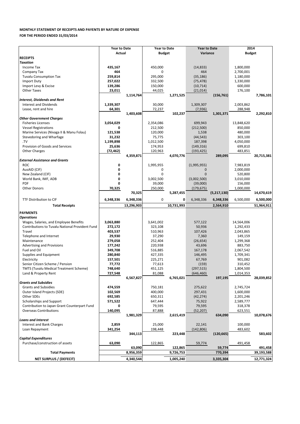### **MONTHLY STATEMENT OF RECEIPTS AND PAYENTS BY NATURE OF EXPENSE**

**FOR THE PERIOD ENDED 31/03/2014**

|                                                 | <b>Year to Date</b> |            | <b>Year to Date</b> |            | <b>Year to Date</b> |             | 2014          |            |  |
|-------------------------------------------------|---------------------|------------|---------------------|------------|---------------------|-------------|---------------|------------|--|
|                                                 | Actual              |            | Budget              |            | Variance            |             | <b>Budget</b> |            |  |
| <b>RECEIPTS</b>                                 |                     |            |                     |            |                     |             |               |            |  |
| <b>Taxation</b>                                 |                     |            |                     |            |                     |             |               |            |  |
| Income Tax                                      | 435,167             |            | 450,000             |            | (14, 833)           |             | 1,800,000     |            |  |
| Company Tax                                     | 464                 |            | 0                   |            | 464                 |             | 2,700,001     |            |  |
| <b>Tuvalu Consumption Tax</b>                   | 259,814             |            | 295,000             |            | (35, 186)           |             | 1,180,000     |            |  |
| Import Duty                                     | 257,022             |            | 332,500             |            | (75, 478)           |             | 1,330,000     |            |  |
| Import Levy & Excise                            | 139,286             |            | 150,000             |            | (10, 714)           |             | 600,000       |            |  |
| <b>Other Taxes</b>                              | 23,011              |            | 44,025              |            | (21, 014)           |             | 176,100       |            |  |
|                                                 |                     | 1,114,764  |                     | 1,271,525  |                     | (156, 761)  |               | 7,786,101  |  |
| <b>Interest, Dividends and Rent</b>             |                     |            |                     |            |                     |             |               |            |  |
| <b>Interest and Dividends</b>                   | 1,339,307           |            | 30,000              |            | 1,309,307           |             | 2,003,862     |            |  |
| Lease, rent and hire                            | 64,301              |            | 72,237              |            | (7,936)             |             | 288,948       |            |  |
|                                                 |                     | 1,403,608  |                     | 102,237    |                     | 1,301,371   |               | 2,292,810  |  |
| <b>Other Government Charges</b>                 |                     |            |                     |            |                     |             |               |            |  |
| <b>Fisheries Licenses</b>                       | 3,054,029           |            | 2,354,086           |            | 699,943             |             | 13,848,620    |            |  |
| <b>Vessel Registrations</b>                     | 0                   |            | 212,500             |            | (212,500)           |             | 850,000       |            |  |
| Marine Services (Nivaga II & Manu Folau)        | 121,538             |            | 120,000             |            | 1,538               |             | 480,000       |            |  |
| Stevedoring and Wharfage                        | 31,232              |            | 75,775              |            | (44, 543)           |             | 303,100       |            |  |
| .TV                                             | 1,199,898           |            | 1,012,500           |            | 187,398             |             | 4,050,000     |            |  |
| Provision of Goods and Services                 | 25,636              |            | 174,953             |            | (149, 316)          |             | 699,810       |            |  |
| <b>Other Charges</b>                            | (72,462)            |            | 120,963             |            | (193, 425)          |             | 483,851       |            |  |
|                                                 |                     | 4,359,871  |                     | 4,070,776  |                     | 289,095     |               | 20,715,381 |  |
| <b>External Assistance and Grants</b>           |                     |            |                     |            |                     |             |               |            |  |
| <b>ROC</b>                                      | 0                   |            | 1,995,955           |            | (1,995,955)         |             | 7,983,819     |            |  |
| AusAID (CIF)                                    | 0                   |            | 0                   |            | 0                   |             | 2,000,000     |            |  |
| New Zealand (CIF)                               | 0                   |            | 0                   |            | $\mathbf{0}$        |             | 520,800       |            |  |
| World Bank, IMF, ADB                            | 0                   |            | 3,002,500           |            | (3,002,500)         |             | 3,010,000     |            |  |
| <b>PDF</b>                                      | 0                   |            | 39,000              |            | (39,000)            |             | 156,000       |            |  |
| <b>Other Donors</b>                             | 70,325              |            | 250,000             |            | (179, 675)          |             | 1,000,000     |            |  |
|                                                 |                     | 70,325     |                     | 5,287,455  |                     | (5,217,130) |               | 14,670,619 |  |
| TTF Distribution to CIF                         | 6,348,336           | 6,348,336  | 0                   | 0          | 6,348,336           | 6,348,336   | 6,500,000     | 6,500,000  |  |
| <b>Total Receipts</b>                           |                     | 13,296,903 |                     | 10,731,993 |                     | 2,564,910   |               | 51,964,911 |  |
|                                                 |                     |            |                     |            |                     |             |               |            |  |
| <b>PAYMENTS</b>                                 |                     |            |                     |            |                     |             |               |            |  |
| <b>Operations</b>                               |                     |            |                     |            |                     |             |               |            |  |
| Wages, Salaries, and Employee Benefits          | 3,063,880           |            | 3,641,002           |            | 577,122             |             | 14,564,006    |            |  |
| Contributions to Tuvalu National Provident Fund | 272,172             |            | 323,108             |            | 50,936              |             | 1,292,433     |            |  |
| Travel                                          | 403,537             |            | 510,963             |            | 107,426             |             | 2,043,865     |            |  |
| Telephone and Internet                          | 29,930              |            | 37,290              |            | 7,360               |             |               |            |  |
| Maintenance                                     |                     |            |                     |            |                     |             | 149,159       |            |  |
|                                                 | 279,058             |            | 252,404             |            | (26, 654)           |             | 1,299,368     |            |  |
| <b>Advertising and Provisions</b>               | 177,242             |            | 220,938             |            | 43,696              |             | 883,750       |            |  |
| Fuel and Oil                                    | 349,708             |            | 516,885             |            | 167,178             |             | 2,067,542     |            |  |
| Supplies and Equipment                          | 280,840             |            | 427,335             |            | 146,495             |             | 1,709,341     |            |  |
| Electricity                                     | 157,501             |            | 225,271             |            | 67,769              |             | 901,082       |            |  |
| Senior Citizen Scheme / Pension                 | 77,772              |            | 77,613              |            | (159)               |             | 310,452       |            |  |
| TMTS (Tuvalu Medical Treatment Scheme)          | 748,640             |            | 451,125             |            | (297, 515)          |             | 1,804,500     |            |  |
| Land & Property Rent                            | 727,548             |            | 81,088              |            | (646, 460)          |             | 1,014,353     |            |  |
|                                                 |                     | 6,567,827  |                     | 6,765,021  |                     | 197,195     |               | 28,039,852 |  |
| <b>Grants and Subsidies</b>                     |                     |            |                     |            |                     |             |               |            |  |
| <b>Grants and Subsidies</b>                     | 474,559             |            | 750,181             |            | 275,622             |             | 2,745,724     |            |  |
| Outer Island Projects (SDE)                     | 102,569             |            | 400,000             |            | 297,431             |             | 1,600,000     |            |  |
| Other SDEs                                      | 692,585             |            | 650,311             |            | (42, 274)           |             | 2,201,246     |            |  |
| Scholarships and Support                        | 571,522             |            | 647,444             |            | 75,922              |             | 2,589,777     |            |  |
| Contribution to Japan Grant Counterpart Fund    | 0                   |            | 79,595              |            | 79,595              |             | 318,378       |            |  |
| <b>Overseas Contributions</b>                   | 140,095             |            | 87,888              |            | (52, 207)           |             | 623,551       |            |  |
|                                                 |                     | 1,981,329  |                     | 2,615,419  |                     | 634,090     |               | 10,078,676 |  |
| <b>Loans and Interest</b>                       |                     |            |                     |            |                     |             |               |            |  |
| Interest and Bank Charges                       | 2,859               |            | 25,000              |            | 22,141              |             | 100,000       |            |  |
| Loan Repayment                                  | 341,254             |            | 198,448             |            | (142, 806)          |             | 483,602       |            |  |
|                                                 |                     | 344,113    |                     | 223,448    |                     | (120, 665)  |               | 583,602    |  |
| <b>Capital Expenditures</b>                     |                     |            |                     |            |                     |             |               |            |  |
| Purchase/construction of assets                 | 63,090              |            | 122,865             |            | 59,774              |             | 491,458       |            |  |
|                                                 |                     | 63,090     |                     | 122,865    |                     | 59,774      |               | 491,458    |  |
| <b>Total Payments</b>                           |                     | 8,956,359  |                     | 9,726,753  |                     | 770,394     |               | 39,193,588 |  |